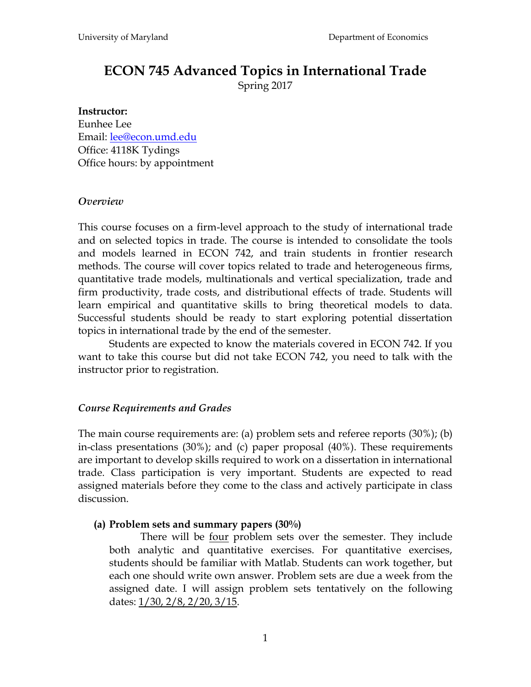# **ECON 745 Advanced Topics in International Trade**

Spring 2017

#### **Instructor:**

Eunhee Lee Email: [lee@econ.umd.edu](mailto:lee@econ.umd.edu) Office: 4118K Tydings Office hours: by appointment

#### *Overview*

This course focuses on a firm-level approach to the study of international trade and on selected topics in trade. The course is intended to consolidate the tools and models learned in ECON 742, and train students in frontier research methods. The course will cover topics related to trade and heterogeneous firms, quantitative trade models, multinationals and vertical specialization, trade and firm productivity, trade costs, and distributional effects of trade. Students will learn empirical and quantitative skills to bring theoretical models to data. Successful students should be ready to start exploring potential dissertation topics in international trade by the end of the semester.

Students are expected to know the materials covered in ECON 742. If you want to take this course but did not take ECON 742, you need to talk with the instructor prior to registration.

#### *Course Requirements and Grades*

The main course requirements are: (a) problem sets and referee reports (30%); (b) in-class presentations (30%); and (c) paper proposal (40%). These requirements are important to develop skills required to work on a dissertation in international trade. Class participation is very important. Students are expected to read assigned materials before they come to the class and actively participate in class discussion.

#### **(a) Problem sets and summary papers (30%)**

There will be four problem sets over the semester. They include both analytic and quantitative exercises. For quantitative exercises, students should be familiar with Matlab. Students can work together, but each one should write own answer. Problem sets are due a week from the assigned date. I will assign problem sets tentatively on the following dates: 1/30, 2/8, 2/20, 3/15.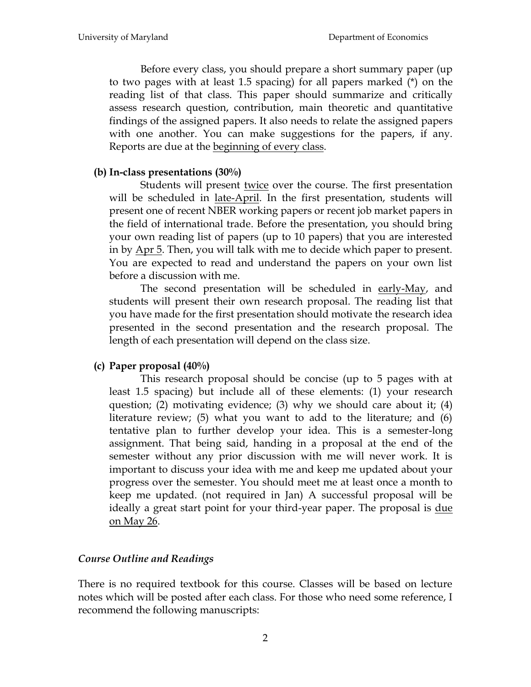Before every class, you should prepare a short summary paper (up to two pages with at least 1.5 spacing) for all papers marked (\*) on the reading list of that class. This paper should summarize and critically assess research question, contribution, main theoretic and quantitative findings of the assigned papers. It also needs to relate the assigned papers with one another. You can make suggestions for the papers, if any. Reports are due at the beginning of every class.

#### **(b) In-class presentations (30%)**

Students will present twice over the course. The first presentation will be scheduled in <u>late-April</u>. In the first presentation, students will present one of recent NBER working papers or recent job market papers in the field of international trade. Before the presentation, you should bring your own reading list of papers (up to 10 papers) that you are interested in by Apr 5. Then, you will talk with me to decide which paper to present. You are expected to read and understand the papers on your own list before a discussion with me.

The second presentation will be scheduled in early-May, and students will present their own research proposal. The reading list that you have made for the first presentation should motivate the research idea presented in the second presentation and the research proposal. The length of each presentation will depend on the class size.

#### **(c) Paper proposal (40%)**

This research proposal should be concise (up to 5 pages with at least 1.5 spacing) but include all of these elements: (1) your research question; (2) motivating evidence; (3) why we should care about it; (4) literature review; (5) what you want to add to the literature; and (6) tentative plan to further develop your idea. This is a semester-long assignment. That being said, handing in a proposal at the end of the semester without any prior discussion with me will never work. It is important to discuss your idea with me and keep me updated about your progress over the semester. You should meet me at least once a month to keep me updated. (not required in Jan) A successful proposal will be ideally a great start point for your third-year paper. The proposal is due on May 26.

#### *Course Outline and Readings*

There is no required textbook for this course. Classes will be based on lecture notes which will be posted after each class. For those who need some reference, I recommend the following manuscripts: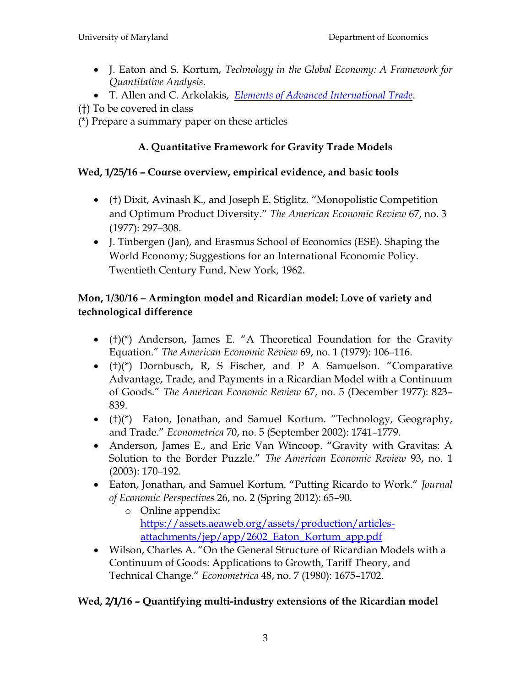- J. Eaton and S. Kortum, *Technology in the Global Economy: A Framework for Quantitative Analysis.*
- T. Allen and C. Arkolakis, *[Elements of Advanced International Trade](http://www.econ.yale.edu/~ka265/teaching/GradTrade/notes/ClassNotes.pdf)*.

(†) To be covered in class

(\*) Prepare a summary paper on these articles

# **A. Quantitative Framework for Gravity Trade Models**

# **Wed, 1/25/16 – Course overview, empirical evidence, and basic tools**

- (†) Dixit, Avinash K., and Joseph E. Stiglitz. "Monopolistic Competition and Optimum Product Diversity." *The American Economic Review* 67, no. 3 (1977): 297–308.
- J. Tinbergen (Jan), and Erasmus School of Economics (ESE). Shaping the World Economy; Suggestions for an International Economic Policy. Twentieth Century Fund, New York, 1962.

# **Mon, 1/30/16 – Armington model and Ricardian model: Love of variety and technological difference**

- $\bullet$  (†)(\*) Anderson, James E. "A Theoretical Foundation for the Gravity Equation.‖ *The American Economic Review* 69, no. 1 (1979): 106–116.
- $\bullet$  (†)(\*) Dornbusch, R, S Fischer, and P A Samuelson. "Comparative Advantage, Trade, and Payments in a Ricardian Model with a Continuum of Goods.‖ *The American Economic Review* 67, no. 5 (December 1977): 823– 839.
- $\bullet$   $(\dagger)(*)$  Eaton, Jonathan, and Samuel Kortum. "Technology, Geography, and Trade.‖ *Econometrica* 70, no. 5 (September 2002): 1741–1779.
- Anderson, James E., and Eric Van Wincoop. "Gravity with Gravitas: A Solution to the Border Puzzle." The American Economic Review 93, no. 1 (2003): 170–192.
- Eaton, Jonathan, and Samuel Kortum. "Putting Ricardo to Work." *Journal of Economic Perspectives* 26, no. 2 (Spring 2012): 65–90.
	- o Online appendix: [https://assets.aeaweb.org/assets/production/articles](https://assets.aeaweb.org/assets/production/articles-attachments/jep/app/2602_Eaton_Kortum_app.pdf)[attachments/jep/app/2602\\_Eaton\\_Kortum\\_app.pdf](https://assets.aeaweb.org/assets/production/articles-attachments/jep/app/2602_Eaton_Kortum_app.pdf)
- Wilson, Charles A. "On the General Structure of Ricardian Models with a Continuum of Goods: Applications to Growth, Tariff Theory, and Technical Change.‖ *Econometrica* 48, no. 7 (1980): 1675–1702.

# **Wed, 2/1/16 – Quantifying multi-industry extensions of the Ricardian model**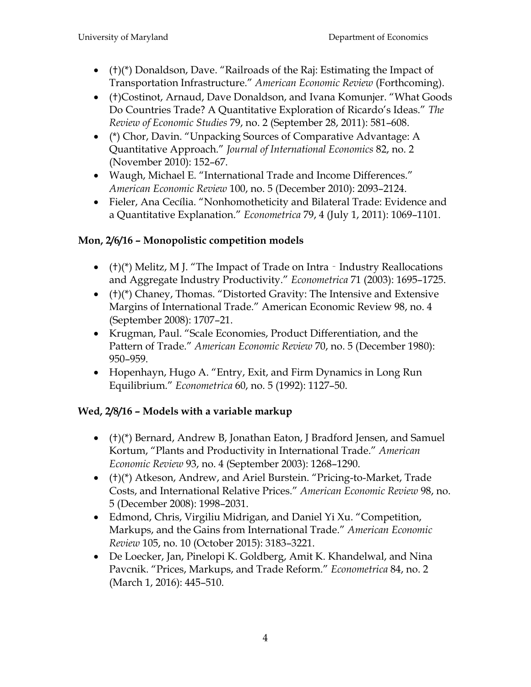- $\bullet$  (†)(\*) Donaldson, Dave. "Railroads of the Raj: Estimating the Impact of Transportation Infrastructure.‖ *American Economic Review* (Forthcoming).
- (†)Costinot, Arnaud, Dave Donaldson, and Ivana Komunier. "What Goods Do Countries Trade? A Quantitative Exploration of Ricardo's Ideas.‖ *The Review of Economic Studies* 79, no. 2 (September 28, 2011): 581–608.
- (\*) Chor, Davin. "Unpacking Sources of Comparative Advantage: A Quantitative Approach.‖ *Journal of International Economics* 82, no. 2 (November 2010): 152–67.
- Waugh, Michael E. "International Trade and Income Differences." *American Economic Review* 100, no. 5 (December 2010): 2093–2124.
- Fieler, Ana Cecília. "Nonhomotheticity and Bilateral Trade: Evidence and a Quantitative Explanation.‖ *Econometrica* 79, 4 (July 1, 2011): 1069–1101.

# **Mon, 2/6/16 – Monopolistic competition models**

- ( $(t)$ (\*) Melitz, M J. "The Impact of Trade on Intra Industry Reallocations and Aggregate Industry Productivity.‖ *Econometrica* 71 (2003): 1695–1725.
- $\bullet$  (†)(\*) Chaney, Thomas. "Distorted Gravity: The Intensive and Extensive Margins of International Trade." American Economic Review 98, no. 4 (September 2008): 1707–21.
- Krugman, Paul. "Scale Economies, Product Differentiation, and the Pattern of Trade." American Economic Review 70, no. 5 (December 1980): 950–959.
- Hopenhayn, Hugo A. "Entry, Exit, and Firm Dynamics in Long Run Equilibrium.‖ *Econometrica* 60, no. 5 (1992): 1127–50.

# **Wed, 2/8/16 – Models with a variable markup**

- (†)(\*) Bernard, Andrew B, Jonathan Eaton, J Bradford Jensen, and Samuel Kortum, "Plants and Productivity in International Trade." American *Economic Review* 93, no. 4 (September 2003): 1268–1290.
- (†)(\*) Atkeson, Andrew, and Ariel Burstein. "Pricing-to-Market, Trade Costs, and International Relative Prices.‖ *American Economic Review* 98, no. 5 (December 2008): 1998–2031.
- Edmond, Chris, Virgiliu Midrigan, and Daniel Yi Xu. "Competition, Markups, and the Gains from International Trade.‖ *American Economic Review* 105, no. 10 (October 2015): 3183–3221.
- De Loecker, Jan, Pinelopi K. Goldberg, Amit K. Khandelwal, and Nina Pavcnik. "Prices, Markups, and Trade Reform." *Econometrica* 84, no. 2 (March 1, 2016): 445–510.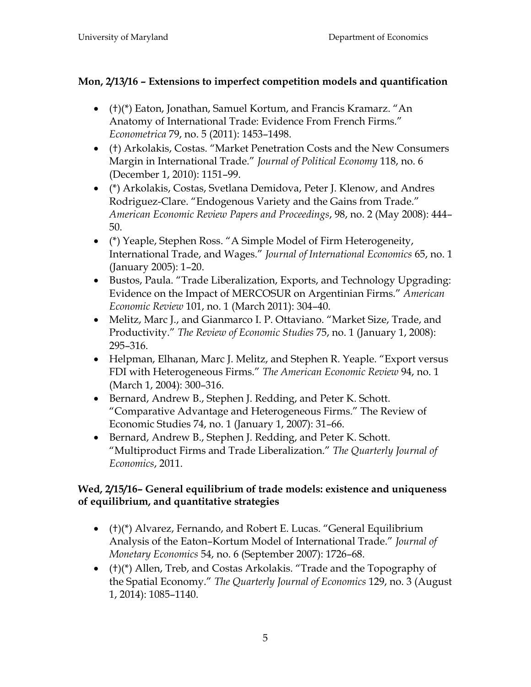# **Mon, 2/13/16 – Extensions to imperfect competition models and quantification**

- $\bullet$  (†)(\*) Eaton, Jonathan, Samuel Kortum, and Francis Kramarz. "An Anatomy of International Trade: Evidence From French Firms." *Econometrica* 79, no. 5 (2011): 1453–1498.
- (†) Arkolakis, Costas. "Market Penetration Costs and the New Consumers Margin in International Trade.‖ *Journal of Political Economy* 118, no. 6 (December 1, 2010): 1151–99.
- (\*) Arkolakis, Costas, Svetlana Demidova, Peter J. Klenow, and Andres Rodriguez-Clare. "Endogenous Variety and the Gains from Trade." *American Economic Review Papers and Proceedings*, 98, no. 2 (May 2008): 444– 50.
- (\*) Yeaple, Stephen Ross. "A Simple Model of Firm Heterogeneity, International Trade, and Wages.‖ *Journal of International Economics* 65, no. 1 (January 2005): 1–20.
- Bustos, Paula. "Trade Liberalization, Exports, and Technology Upgrading: Evidence on the Impact of MERCOSUR on Argentinian Firms.‖ *American Economic Review* 101, no. 1 (March 2011): 304–40.
- Melitz, Marc J., and Gianmarco I. P. Ottaviano. "Market Size, Trade, and Productivity.‖ *The Review of Economic Studies* 75, no. 1 (January 1, 2008): 295–316.
- Helpman, Elhanan, Marc J. Melitz, and Stephen R. Yeaple. "Export versus FDI with Heterogeneous Firms.‖ *The American Economic Review* 94, no. 1 (March 1, 2004): 300–316.
- Bernard, Andrew B., Stephen J. Redding, and Peter K. Schott. ―Comparative Advantage and Heterogeneous Firms.‖ The Review of Economic Studies 74, no. 1 (January 1, 2007): 31–66.
- Bernard, Andrew B., Stephen J. Redding, and Peter K. Schott. ―Multiproduct Firms and Trade Liberalization.‖ *The Quarterly Journal of Economics*, 2011.

## **Wed, 2/15/16– General equilibrium of trade models: existence and uniqueness of equilibrium, and quantitative strategies**

- $\bullet$  (†)(\*) Alvarez, Fernando, and Robert E. Lucas. "General Equilibrium Analysis of the Eaton–Kortum Model of International Trade.‖ *Journal of Monetary Economics* 54, no. 6 (September 2007): 1726–68.
- $\bullet$  (†)(\*) Allen, Treb, and Costas Arkolakis. "Trade and the Topography of the Spatial Economy.‖ *The Quarterly Journal of Economics* 129, no. 3 (August 1, 2014): 1085–1140.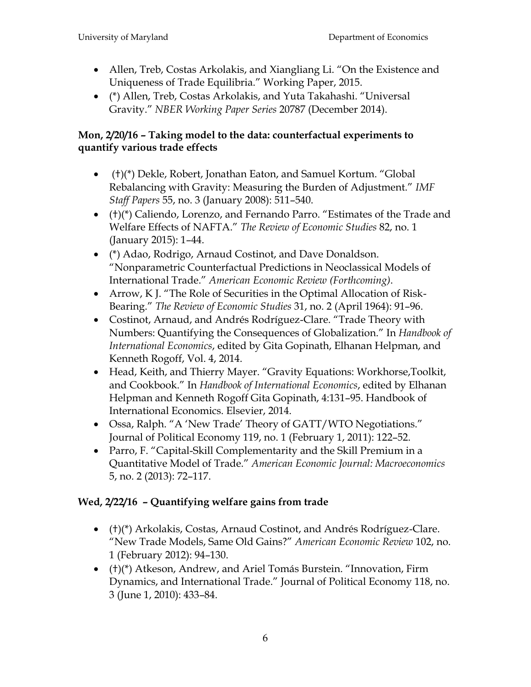- Allen, Treb, Costas Arkolakis, and Xiangliang Li. "On the Existence and Uniqueness of Trade Equilibria.‖ Working Paper, 2015.
- (\*) Allen, Treb, Costas Arkolakis, and Yuta Takahashi. "Universal Gravity.‖ *NBER Working Paper Series* 20787 (December 2014).

#### **Mon, 2/20/16 – Taking model to the data: counterfactual experiments to quantify various trade effects**

- (†)(\*) Dekle, Robert, Jonathan Eaton, and Samuel Kortum. "Global Rebalancing with Gravity: Measuring the Burden of Adjustment.‖ *IMF Staff Papers* 55, no. 3 (January 2008): 511–540.
- $\bullet$  (†)(\*) Caliendo, Lorenzo, and Fernando Parro. "Estimates of the Trade and Welfare Effects of NAFTA.‖ *The Review of Economic Studies* 82, no. 1 (January 2015): 1–44.
- (\*) Adao, Rodrigo, Arnaud Costinot, and Dave Donaldson. ―Nonparametric Counterfactual Predictions in Neoclassical Models of International Trade.‖ *American Economic Review (Forthcoming)*.
- Arrow, K J. "The Role of Securities in the Optimal Allocation of Risk-Bearing.‖ *The Review of Economic Studies* 31, no. 2 (April 1964): 91–96.
- Costinot, Arnaud, and Andrés Rodríguez-Clare. "Trade Theory with Numbers: Quantifying the Consequences of Globalization.‖ In *Handbook of International Economics*, edited by Gita Gopinath, Elhanan Helpman, and Kenneth Rogoff, Vol. 4, 2014.
- Head, Keith, and Thierry Mayer. "Gravity Equations: Workhorse, Toolkit, and Cookbook.‖ In *Handbook of International Economics*, edited by Elhanan Helpman and Kenneth Rogoff Gita Gopinath, 4:131–95. Handbook of International Economics. Elsevier, 2014.
- Ossa, Ralph. "A 'New Trade' Theory of GATT/WTO Negotiations." Journal of Political Economy 119, no. 1 (February 1, 2011): 122–52.
- Parro, F. "Capital-Skill Complementarity and the Skill Premium in a Quantitative Model of Trade.‖ *American Economic Journal: Macroeconomics* 5, no. 2 (2013): 72–117.

# **Wed, 2/22/16 – Quantifying welfare gains from trade**

- (†)(\*) Arkolakis, Costas, Arnaud Costinot, and Andrés Rodríguez-Clare. ―New Trade Models, Same Old Gains?‖ *American Economic Review* 102, no. 1 (February 2012): 94–130.
- (†)(\*) Atkeson, Andrew, and Ariel Tomás Burstein. "Innovation, Firm Dynamics, and International Trade.‖ Journal of Political Economy 118, no. 3 (June 1, 2010): 433–84.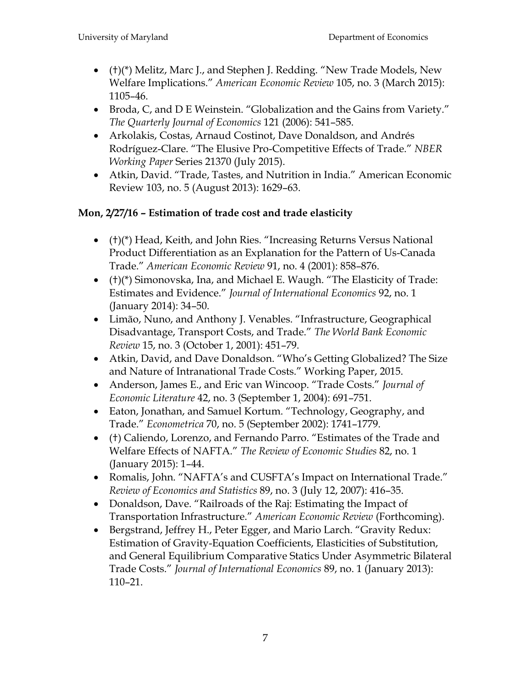- $\bullet$  (†)(\*) Melitz, Marc J., and Stephen J. Redding. "New Trade Models, New Welfare Implications.‖ *American Economic Review* 105, no. 3 (March 2015): 1105–46.
- Broda, C, and D E Weinstein. "Globalization and the Gains from Variety." *The Quarterly Journal of Economics* 121 (2006): 541–585.
- Arkolakis, Costas, Arnaud Costinot, Dave Donaldson, and Andrés Rodríguez-Clare. "The Elusive Pro-Competitive Effects of Trade." NBER *Working Paper* Series 21370 (July 2015).
- Atkin, David. "Trade, Tastes, and Nutrition in India." American Economic Review 103, no. 5 (August 2013): 1629–63.

# **Mon, 2/27/16 – Estimation of trade cost and trade elasticity**

- $\bullet$  (†)(\*) Head, Keith, and John Ries. "Increasing Returns Versus National Product Differentiation as an Explanation for the Pattern of Us-Canada Trade.‖ *American Economic Review* 91, no. 4 (2001): 858–876.
- $(+)$ (\*) Simonovska, Ina, and Michael E. Waugh. "The Elasticity of Trade: Estimates and Evidence.‖ *Journal of International Economics* 92, no. 1 (January 2014): 34–50.
- Limão, Nuno, and Anthony J. Venables. "Infrastructure, Geographical Disadvantage, Transport Costs, and Trade.‖ *The World Bank Economic Review* 15, no. 3 (October 1, 2001): 451–79.
- Atkin, David, and Dave Donaldson. "Who's Getting Globalized? The Size and Nature of Intranational Trade Costs." Working Paper, 2015.
- Anderson, James E., and Eric van Wincoop. "Trade Costs." *Journal of Economic Literature* 42, no. 3 (September 1, 2004): 691–751.
- Eaton, Jonathan, and Samuel Kortum. "Technology, Geography, and Trade.‖ *Econometrica* 70, no. 5 (September 2002): 1741–1779.
- (†) Caliendo, Lorenzo, and Fernando Parro. "Estimates of the Trade and Welfare Effects of NAFTA.‖ *The Review of Economic Studies* 82, no. 1 (January 2015): 1–44.
- Romalis, John. "NAFTA's and CUSFTA's Impact on International Trade." *Review of Economics and Statistics* 89, no. 3 (July 12, 2007): 416–35.
- Donaldson, Dave. "Railroads of the Raj: Estimating the Impact of Transportation Infrastructure.‖ *American Economic Review* (Forthcoming).
- Bergstrand, Jeffrey H., Peter Egger, and Mario Larch. "Gravity Redux: Estimation of Gravity-Equation Coefficients, Elasticities of Substitution, and General Equilibrium Comparative Statics Under Asymmetric Bilateral Trade Costs.‖ *Journal of International Economics* 89, no. 1 (January 2013): 110–21.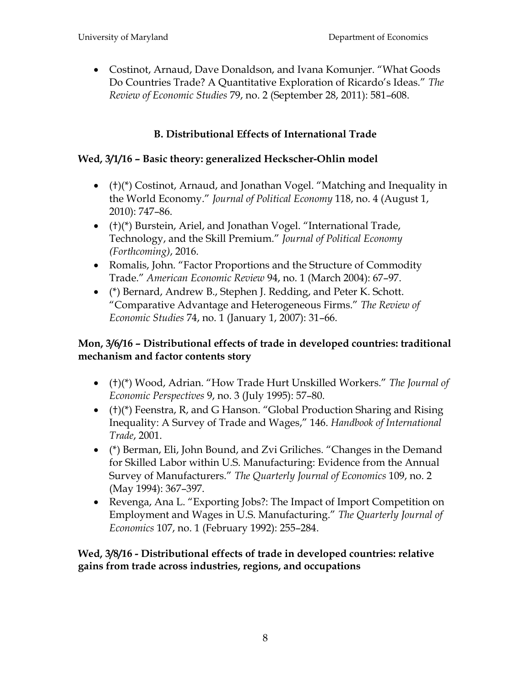• Costinot, Arnaud, Dave Donaldson, and Ivana Komunjer. "What Goods Do Countries Trade? A Quantitative Exploration of Ricardo's Ideas.‖ *The Review of Economic Studies* 79, no. 2 (September 28, 2011): 581–608.

# **B. Distributional Effects of International Trade**

## **Wed, 3/1/16 – Basic theory: generalized Heckscher-Ohlin model**

- $\bullet$  (†)(\*) Costinot, Arnaud, and Jonathan Vogel. "Matching and Inequality in the World Economy.‖ *Journal of Political Economy* 118, no. 4 (August 1, 2010): 747–86.
- $\bullet$  (†)(\*) Burstein, Ariel, and Jonathan Vogel. "International Trade, Technology, and the Skill Premium.‖ *Journal of Political Economy (Forthcoming)*, 2016.
- Romalis, John. "Factor Proportions and the Structure of Commodity Trade.‖ *American Economic Review* 94, no. 1 (March 2004): 67–97.
- (\*) Bernard, Andrew B., Stephen J. Redding, and Peter K. Schott. ―Comparative Advantage and Heterogeneous Firms.‖ *The Review of Economic Studies* 74, no. 1 (January 1, 2007): 31–66.

# **Mon, 3/6/16 – Distributional effects of trade in developed countries: traditional mechanism and factor contents story**

- (†)(\*) Wood, Adrian. "How Trade Hurt Unskilled Workers." The Journal of *Economic Perspectives* 9, no. 3 (July 1995): 57–80.
- $(+)$ (\*) Feenstra, R, and G Hanson. "Global Production Sharing and Rising Inequality: A Survey of Trade and Wages," 146. *Handbook of International Trade*, 2001.
- (\*) Berman, Eli, John Bound, and Zvi Griliches. "Changes in the Demand for Skilled Labor within U.S. Manufacturing: Evidence from the Annual Survey of Manufacturers.‖ *The Quarterly Journal of Economics* 109, no. 2 (May 1994): 367–397.
- Revenga, Ana L. "Exporting Jobs?: The Impact of Import Competition on Employment and Wages in U.S. Manufacturing.‖ *The Quarterly Journal of Economics* 107, no. 1 (February 1992): 255–284.

**Wed, 3/8/16 - Distributional effects of trade in developed countries: relative gains from trade across industries, regions, and occupations**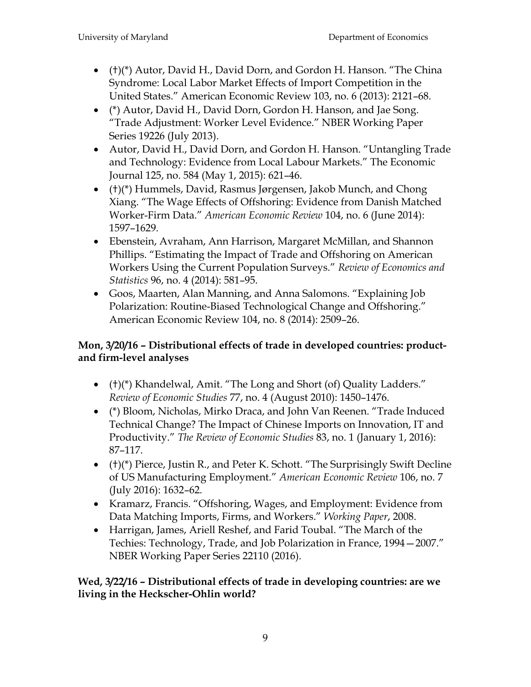- $\bullet$  (†)(\*) Autor, David H., David Dorn, and Gordon H. Hanson. "The China Syndrome: Local Labor Market Effects of Import Competition in the United States.‖ American Economic Review 103, no. 6 (2013): 2121–68.
- (\*) Autor, David H., David Dorn, Gordon H. Hanson, and Jae Song. ―Trade Adjustment: Worker Level Evidence.‖ NBER Working Paper Series 19226 (July 2013).
- Autor, David H., David Dorn, and Gordon H. Hanson. "Untangling Trade and Technology: Evidence from Local Labour Markets." The Economic Journal 125, no. 584 (May 1, 2015): 621–46.
- (†)(\*) Hummels, David, Rasmus Jørgensen, Jakob Munch, and Chong Xiang. "The Wage Effects of Offshoring: Evidence from Danish Matched Worker-Firm Data.‖ *American Economic Review* 104, no. 6 (June 2014): 1597–1629.
- Ebenstein, Avraham, Ann Harrison, Margaret McMillan, and Shannon Phillips. "Estimating the Impact of Trade and Offshoring on American Workers Using the Current Population Surveys.‖ *Review of Economics and Statistics* 96, no. 4 (2014): 581–95.
- Goos, Maarten, Alan Manning, and Anna Salomons. "Explaining Job Polarization: Routine-Biased Technological Change and Offshoring." American Economic Review 104, no. 8 (2014): 2509–26.

## **Mon, 3/20/16 – Distributional effects of trade in developed countries: productand firm-level analyses**

- (†)(\*) Khandelwal, Amit. "The Long and Short (of) Quality Ladders." *Review of Economic Studies* 77, no. 4 (August 2010): 1450–1476.
- (\*) Bloom, Nicholas, Mirko Draca, and John Van Reenen. "Trade Induced Technical Change? The Impact of Chinese Imports on Innovation, IT and Productivity.‖ *The Review of Economic Studies* 83, no. 1 (January 1, 2016): 87–117.
- $(+)$ (\*) Pierce, Justin R., and Peter K. Schott. "The Surprisingly Swift Decline of US Manufacturing Employment.‖ *American Economic Review* 106, no. 7 (July 2016): 1632–62.
- Kramarz, Francis. "Offshoring, Wages, and Employment: Evidence from Data Matching Imports, Firms, and Workers.‖ *Working Paper*, 2008.
- Harrigan, James, Ariell Reshef, and Farid Toubal. "The March of the Techies: Technology, Trade, and Job Polarization in France, 1994–2007." NBER Working Paper Series 22110 (2016).

#### **Wed, 3/22/16 – Distributional effects of trade in developing countries: are we living in the Heckscher-Ohlin world?**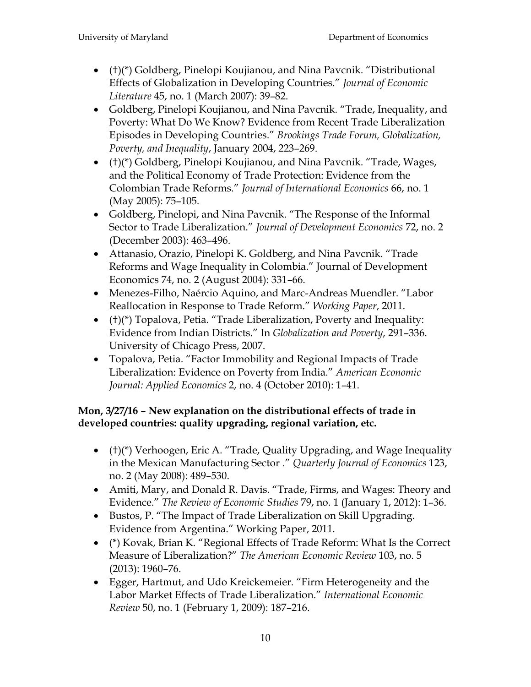- (†)(\*) Goldberg, Pinelopi Koujianou, and Nina Pavcnik. "Distributional Effects of Globalization in Developing Countries.‖ *Journal of Economic Literature* 45, no. 1 (March 2007): 39–82.
- Goldberg, Pinelopi Koujianou, and Nina Pavcnik. "Trade, Inequality, and Poverty: What Do We Know? Evidence from Recent Trade Liberalization Episodes in Developing Countries.‖ *Brookings Trade Forum, Globalization, Poverty, and Inequality*, January 2004, 223–269.
- (†)(\*) Goldberg, Pinelopi Koujianou, and Nina Pavcnik. "Trade, Wages, and the Political Economy of Trade Protection: Evidence from the Colombian Trade Reforms.‖ *Journal of International Economics* 66, no. 1 (May 2005): 75–105.
- Goldberg, Pinelopi, and Nina Pavcnik. "The Response of the Informal Sector to Trade Liberalization.‖ *Journal of Development Economics* 72, no. 2 (December 2003): 463–496.
- Attanasio, Orazio, Pinelopi K. Goldberg, and Nina Pavcnik. "Trade Reforms and Wage Inequality in Colombia." Journal of Development Economics 74, no. 2 (August 2004): 331–66.
- Menezes-Filho, Naércio Aquino, and Marc-Andreas Muendler. "Labor Reallocation in Response to Trade Reform.‖ *Working Paper*, 2011.
- $\bullet$  (†)(\*) Topalova, Petia. "Trade Liberalization, Poverty and Inequality: Evidence from Indian Districts.‖ In *Globalization and Poverty*, 291–336. University of Chicago Press, 2007.
- Topalova, Petia. "Factor Immobility and Regional Impacts of Trade Liberalization: Evidence on Poverty from India.‖ *American Economic Journal: Applied Economics* 2, no. 4 (October 2010): 1–41.

# **Mon, 3/27/16 – New explanation on the distributional effects of trade in developed countries: quality upgrading, regional variation, etc.**

- $\bullet$  (†)(\*) Verhoogen, Eric A. "Trade, Quality Upgrading, and Wage Inequality in the Mexican Manufacturing Sector ." *Quarterly Journal of Economics* 123, no. 2 (May 2008): 489–530.
- Amiti, Mary, and Donald R. Davis. "Trade, Firms, and Wages: Theory and Evidence.‖ *The Review of Economic Studies* 79, no. 1 (January 1, 2012): 1–36.
- Bustos, P. "The Impact of Trade Liberalization on Skill Upgrading. Evidence from Argentina." Working Paper, 2011.
- (\*) Kovak, Brian K. "Regional Effects of Trade Reform: What Is the Correct Measure of Liberalization?‖ *The American Economic Review* 103, no. 5 (2013): 1960–76.
- Egger, Hartmut, and Udo Kreickemeier. "Firm Heterogeneity and the Labor Market Effects of Trade Liberalization.‖ *International Economic Review* 50, no. 1 (February 1, 2009): 187–216.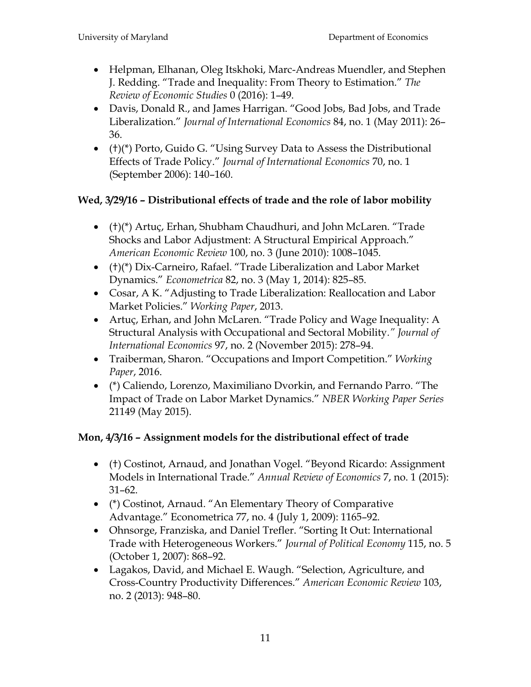- Helpman, Elhanan, Oleg Itskhoki, Marc-Andreas Muendler, and Stephen J. Redding. ―Trade and Inequality: From Theory to Estimation.‖ *The Review of Economic Studies* 0 (2016): 1–49.
- Davis, Donald R., and James Harrigan. "Good Jobs, Bad Jobs, and Trade Liberalization.‖ *Journal of International Economics* 84, no. 1 (May 2011): 26– 36.
- $\bullet$  (†)(\*) Porto, Guido G. "Using Survey Data to Assess the Distributional Effects of Trade Policy.‖ *Journal of International Economics* 70, no. 1 (September 2006): 140–160.

# **Wed, 3/29/16 – Distributional effects of trade and the role of labor mobility**

- (†)(\*) Artuç, Erhan, Shubham Chaudhuri, and John McLaren. "Trade Shocks and Labor Adjustment: A Structural Empirical Approach." *American Economic Review* 100, no. 3 (June 2010): 1008–1045.
- (†)(\*) Dix-Carneiro, Rafael. "Trade Liberalization and Labor Market Dynamics.‖ *Econometrica* 82, no. 3 (May 1, 2014): 825–85.
- Cosar, A K. "Adjusting to Trade Liberalization: Reallocation and Labor Market Policies.‖ *Working Paper*, 2013.
- Artuç, Erhan, and John McLaren. "Trade Policy and Wage Inequality: A Structural Analysis with Occupational and Sectoral Mobility*." Journal of International Economics* 97, no. 2 (November 2015): 278–94.
- Traiberman, Sharon. "Occupations and Import Competition." *Working Paper*, 2016.
- (\*) Caliendo, Lorenzo, Maximiliano Dvorkin, and Fernando Parro. "The Impact of Trade on Labor Market Dynamics.‖ *NBER Working Paper Series*  21149 (May 2015).

# **Mon, 4/3/16 – Assignment models for the distributional effect of trade**

- (†) Costinot, Arnaud, and Jonathan Vogel. "Beyond Ricardo: Assignment Models in International Trade.‖ *Annual Review of Economics* 7, no. 1 (2015): 31–62.
- (\*) Costinot, Arnaud. "An Elementary Theory of Comparative Advantage.‖ Econometrica 77, no. 4 (July 1, 2009): 1165–92.
- Ohnsorge, Franziska, and Daniel Trefler. "Sorting It Out: International Trade with Heterogeneous Workers.‖ *Journal of Political Economy* 115, no. 5 (October 1, 2007): 868–92.
- Lagakos, David, and Michael E. Waugh. "Selection, Agriculture, and Cross-Country Productivity Differences.‖ *American Economic Review* 103, no. 2 (2013): 948–80.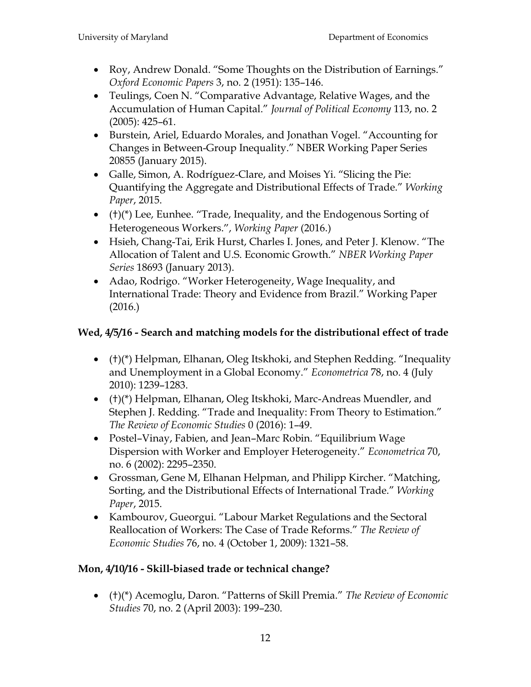- Roy, Andrew Donald. "Some Thoughts on the Distribution of Earnings." *Oxford Economic Papers* 3, no. 2 (1951): 135–146.
- Teulings, Coen N. "Comparative Advantage, Relative Wages, and the Accumulation of Human Capital.‖ *Journal of Political Economy* 113, no. 2 (2005): 425–61.
- Burstein, Ariel, Eduardo Morales, and Jonathan Vogel. "Accounting for Changes in Between-Group Inequality." NBER Working Paper Series 20855 (January 2015).
- Galle, Simon, A. Rodríguez-Clare, and Moises Yi. "Slicing the Pie: Quantifying the Aggregate and Distributional Effects of Trade.‖ *Working Paper*, 2015.
- $(+)$ (\*) Lee, Eunhee. "Trade, Inequality, and the Endogenous Sorting of Heterogeneous Workers.", *Working Paper* (2016.)
- Hsieh, Chang-Tai, Erik Hurst, Charles I. Jones, and Peter J. Klenow. "The Allocation of Talent and U.S. Economic Growth.‖ *NBER Working Paper Series* 18693 (January 2013).
- Adao, Rodrigo. "Worker Heterogeneity, Wage Inequality, and International Trade: Theory and Evidence from Brazil." Working Paper (2016.)

# **Wed, 4/5/16 - Search and matching models for the distributional effect of trade**

- $(+)$ (\*) Helpman, Elhanan, Oleg Itskhoki, and Stephen Redding. "Inequality and Unemployment in a Global Economy." *Econometrica* 78, no. 4 (July 2010): 1239–1283.
- (†)(\*) Helpman, Elhanan, Oleg Itskhoki, Marc-Andreas Muendler, and Stephen J. Redding. "Trade and Inequality: From Theory to Estimation." *The Review of Economic Studies* 0 (2016): 1–49.
- Postel–Vinay, Fabien, and Jean–Marc Robin. "Equilibrium Wage Dispersion with Worker and Employer Heterogeneity.‖ *Econometrica* 70, no. 6 (2002): 2295–2350.
- Grossman, Gene M, Elhanan Helpman, and Philipp Kircher. "Matching, Sorting, and the Distributional Effects of International Trade.‖ *Working Paper*, 2015.
- Kambourov, Gueorgui. "Labour Market Regulations and the Sectoral Reallocation of Workers: The Case of Trade Reforms.‖ *The Review of Economic Studies* 76, no. 4 (October 1, 2009): 1321–58.

# **Mon, 4/10/16 - Skill-biased trade or technical change?**

 (†)(\*) Acemoglu, Daron. ―Patterns of Skill Premia.‖ *The Review of Economic Studies* 70, no. 2 (April 2003): 199–230.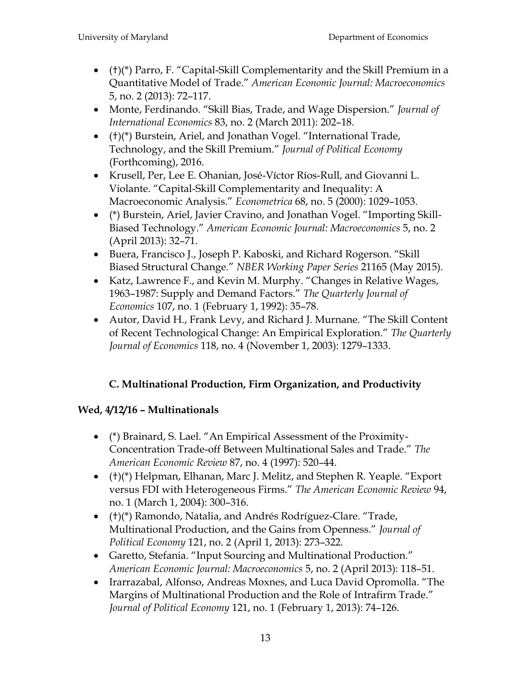- $\bullet$  (†)(\*) Parro, F. "Capital-Skill Complementarity and the Skill Premium in a Quantitative Model of Trade.‖ *American Economic Journal: Macroeconomics* 5, no. 2 (2013): 72–117.
- Monte, Ferdinando. "Skill Bias, Trade, and Wage Dispersion." *Journal of International Economics* 83, no. 2 (March 2011): 202–18.
- $\bullet$  (†)(\*) Burstein, Ariel, and Jonathan Vogel. "International Trade, Technology, and the Skill Premium.‖ *Journal of Political Economy* (Forthcoming), 2016.
- Krusell, Per, Lee E. Ohanian, José-Víctor Ríos-Rull, and Giovanni L. Violante. "Capital-Skill Complementarity and Inequality: A Macroeconomic Analysis.‖ *Econometrica* 68, no. 5 (2000): 1029–1053.
- (\*) Burstein, Ariel, Javier Cravino, and Jonathan Vogel. "Importing Skill-Biased Technology.‖ *American Economic Journal: Macroeconomics* 5, no. 2 (April 2013): 32–71.
- Buera, Francisco J., Joseph P. Kaboski, and Richard Rogerson. "Skill Biased Structural Change.‖ *NBER Working Paper Series* 21165 (May 2015).
- Katz, Lawrence F., and Kevin M. Murphy. "Changes in Relative Wages, 1963-1987: Supply and Demand Factors." The Quarterly Journal of *Economics* 107, no. 1 (February 1, 1992): 35–78.
- Autor, David H., Frank Levy, and Richard J. Murnane. "The Skill Content of Recent Technological Change: An Empirical Exploration.‖ *The Quarterly Journal of Economics* 118, no. 4 (November 1, 2003): 1279–1333.

# **C. Multinational Production, Firm Organization, and Productivity**

# **Wed, 4/12/16 – Multinationals**

- (\*) Brainard, S. Lael. "An Empirical Assessment of the Proximity-Concentration Trade-off Between Multinational Sales and Trade.‖ *The American Economic Review* 87, no. 4 (1997): 520–44.
- $\bullet$  (†)(\*) Helpman, Elhanan, Marc J. Melitz, and Stephen R. Yeaple. "Export versus FDI with Heterogeneous Firms.‖ *The American Economic Review* 94, no. 1 (March 1, 2004): 300–316.
- (†)(\*) Ramondo, Natalia, and Andrés Rodríguez-Clare. "Trade, Multinational Production, and the Gains from Openness.‖ *Journal of Political Economy* 121, no. 2 (April 1, 2013): 273–322.
- Garetto, Stefania. "Input Sourcing and Multinational Production." *American Economic Journal: Macroeconomics* 5, no. 2 (April 2013): 118–51.
- Irarrazabal, Alfonso, Andreas Moxnes, and Luca David Opromolla. "The Margins of Multinational Production and the Role of Intrafirm Trade." *Journal of Political Economy* 121, no. 1 (February 1, 2013): 74–126.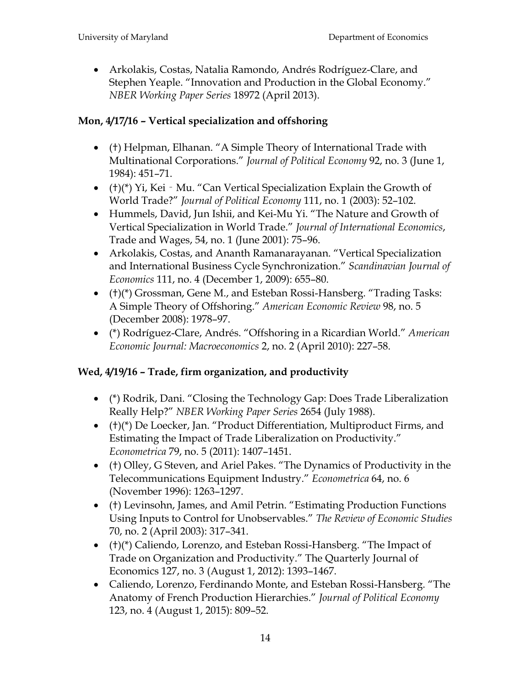Arkolakis, Costas, Natalia Ramondo, Andrés Rodríguez-Clare, and Stephen Yeaple. "Innovation and Production in the Global Economy." *NBER Working Paper Series* 18972 (April 2013).

# **Mon, 4/17/16 – Vertical specialization and offshoring**

- (†) Helpman, Elhanan. "A Simple Theory of International Trade with Multinational Corporations.‖ *Journal of Political Economy* 92, no. 3 (June 1, 1984): 451–71.
- $(+)$ (\*) Yi, Kei Mu. "Can Vertical Specialization Explain the Growth of World Trade?‖ *Journal of Political Economy* 111, no. 1 (2003): 52–102.
- Hummels, David, Jun Ishii, and Kei-Mu Yi. "The Nature and Growth of Vertical Specialization in World Trade.‖ *Journal of International Economics*, Trade and Wages, 54, no. 1 (June 2001): 75–96.
- Arkolakis, Costas, and Ananth Ramanarayanan. "Vertical Specialization and International Business Cycle Synchronization.‖ *Scandinavian Journal of Economics* 111, no. 4 (December 1, 2009): 655–80.
- (†)(\*) Grossman, Gene M., and Esteban Rossi-Hansberg. "Trading Tasks: A Simple Theory of Offshoring.‖ *American Economic Review* 98, no. 5 (December 2008): 1978–97.
- (\*) Rodríguez-Clare, Andrés. ―Offshoring in a Ricardian World.‖ *American Economic Journal: Macroeconomics* 2, no. 2 (April 2010): 227–58.

# **Wed, 4/19/16 – Trade, firm organization, and productivity**

- (\*) Rodrik, Dani. "Closing the Technology Gap: Does Trade Liberalization Really Help?‖ *NBER Working Paper Series* 2654 (July 1988).
- $(+)$ (\*) De Loecker, Jan. "Product Differentiation, Multiproduct Firms, and Estimating the Impact of Trade Liberalization on Productivity." *Econometrica* 79, no. 5 (2011): 1407–1451.
- (†) Olley, G Steven, and Ariel Pakes. ―The Dynamics of Productivity in the Telecommunications Equipment Industry.‖ *Econometrica* 64, no. 6 (November 1996): 1263–1297.
- (†) Levinsohn, James, and Amil Petrin. "Estimating Production Functions Using Inputs to Control for Unobservables.‖ *The Review of Economic Studies* 70, no. 2 (April 2003): 317–341.
- $\bullet$  (†)(\*) Caliendo, Lorenzo, and Esteban Rossi-Hansberg. "The Impact of Trade on Organization and Productivity." The Quarterly Journal of Economics 127, no. 3 (August 1, 2012): 1393–1467.
- Caliendo, Lorenzo, Ferdinando Monte, and Esteban Rossi-Hansberg. "The Anatomy of French Production Hierarchies.‖ *Journal of Political Economy* 123, no. 4 (August 1, 2015): 809–52.